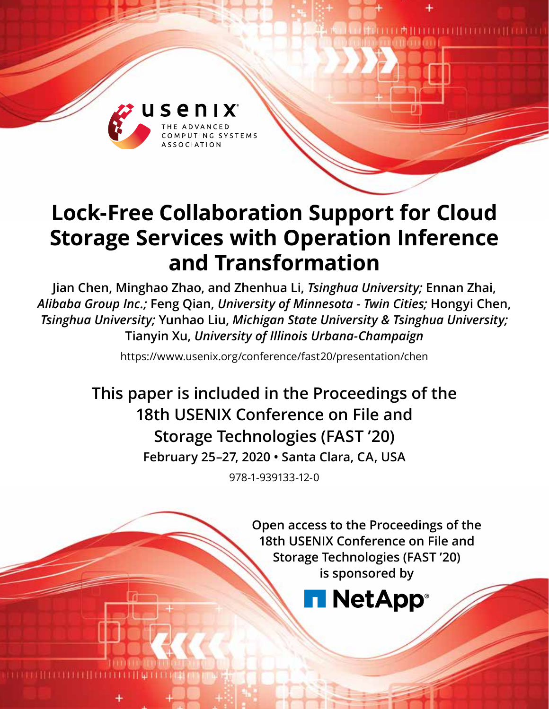

# **Lock-Free Collaboration Support for Cloud Storage Services with Operation Inference and Transformation**

**Jian Chen, Minghao Zhao, and Zhenhua Li,** *Tsinghua University;* **Ennan Zhai,**  *Alibaba Group Inc.;* **Feng Qian,** *University of Minnesota - Twin Cities;* **Hongyi Chen,**  *Tsinghua University;* **Yunhao Liu,** *Michigan State University & Tsinghua University;*  **Tianyin Xu,** *University of Illinois Urbana-Champaign*

https://www.usenix.org/conference/fast20/presentation/chen

**This paper is included in the Proceedings of the 18th USENIX Conference on File and Storage Technologies (FAST '20) February 25–27, 2020 • Santa Clara, CA, USA**

978-1-939133-12-0

**Open access to the Proceedings of the 18th USENIX Conference on File and Storage Technologies (FAST '20) is sponsored by**

**NetApp**®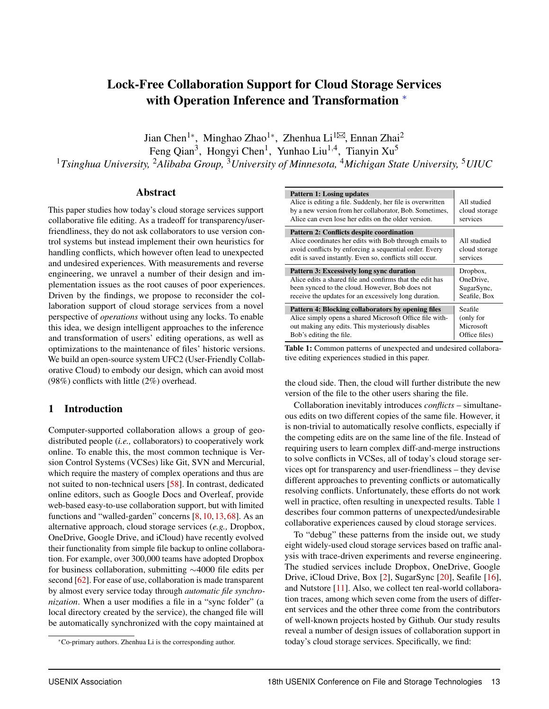# Lock-Free Collaboration Support for Cloud Storage Services with Operation Inference and Transformation  $*$

Jian Chen<sup>1\*</sup>, Minghao Zhao<sup>1\*</sup>, Zhenhua Li<sup>1 $\boxtimes$ </sup>, Ennan Zhai<sup>2</sup>

Feng Qian<sup>3</sup>, Hongyi Chen<sup>1</sup>, Yunhao Liu<sup>1,4</sup>, Tianyin Xu<sup>5</sup>

<sup>1</sup>*Tsinghua University,* <sup>2</sup>*Alibaba Group,* <sup>3</sup>*University of Minnesota,* <sup>4</sup>*Michigan State University,* <sup>5</sup>*UIUC*

#### Abstract

This paper studies how today's cloud storage services support collaborative file editing. As a tradeoff for transparency/userfriendliness, they do not ask collaborators to use version control systems but instead implement their own heuristics for handling conflicts, which however often lead to unexpected and undesired experiences. With measurements and reverse engineering, we unravel a number of their design and implementation issues as the root causes of poor experiences. Driven by the findings, we propose to reconsider the collaboration support of cloud storage services from a novel perspective of *operations* without using any locks. To enable this idea, we design intelligent approaches to the inference and transformation of users' editing operations, as well as optimizations to the maintenance of files' historic versions. We build an open-source system UFC2 (User-Friendly Collaborative Cloud) to embody our design, which can avoid most (98%) conflicts with little (2%) overhead.

#### <span id="page-1-1"></span>1 Introduction

Computer-supported collaboration allows a group of geodistributed people (*i.e.,* collaborators) to cooperatively work online. To enable this, the most common technique is Version Control Systems (VCSes) like Git, SVN and Mercurial, which require the mastery of complex operations and thus are not suited to non-technical users [\[58\]](#page-15-0). In contrast, dedicated online editors, such as Google Docs and Overleaf, provide web-based easy-to-use collaboration support, but with limited functions and "walled-garden" concerns [\[8,](#page-13-0) [10,](#page-13-1) [13,](#page-13-2) [68\]](#page-15-1). As an alternative approach, cloud storage services (*e.g.,* Dropbox, OneDrive, Google Drive, and iCloud) have recently evolved their functionality from simple file backup to online collaboration. For example, over 300,000 teams have adopted Dropbox for business collaboration, submitting  $\sim$ 4000 file edits per second [\[62\]](#page-15-2). For ease of use, collaboration is made transparent by almost every service today through *automatic file synchronization*. When a user modifies a file in a "sync folder" (a local directory created by the service), the changed file will be automatically synchronized with the copy maintained at

<span id="page-1-0"></span>

|  | Pattern 1: Losing updates |
|--|---------------------------|
|  |                           |

| Pattern 1: Losing updates<br>Alice is editing a file. Suddenly, her file is overwritten<br>by a new version from her collaborator, Bob. Sometimes,<br>Alice can even lose her edits on the older version.                        | All studied<br>cloud storage<br>services |
|----------------------------------------------------------------------------------------------------------------------------------------------------------------------------------------------------------------------------------|------------------------------------------|
| <b>Pattern 2: Conflicts despite coordination</b><br>Alice coordinates her edits with Bob through emails to<br>avoid conflicts by enforcing a sequential order. Every<br>edit is saved instantly. Even so, conflicts still occur. | All studied<br>cloud storage<br>services |
| Pattern 3: Excessively long sync duration                                                                                                                                                                                        | Dropbox,                                 |
| Alice edits a shared file and confirms that the edit has                                                                                                                                                                         | OneDrive,                                |
| been synced to the cloud. However, Bob does not                                                                                                                                                                                  | SugarSync,                               |
| receive the updates for an excessively long duration.                                                                                                                                                                            | Seafile, Box                             |
| Pattern 4: Blocking collaborators by opening files                                                                                                                                                                               | Seafile                                  |
| Alice simply opens a shared Microsoft Office file with-                                                                                                                                                                          | (only for                                |
| out making any edits. This mysteriously disables                                                                                                                                                                                 | Microsoft                                |

Table 1: Common patterns of unexpected and undesired collaborative editing experiences studied in this paper.

the cloud side. Then, the cloud will further distribute the new version of the file to the other users sharing the file.

Collaboration inevitably introduces *conflicts* – simultaneous edits on two different copies of the same file. However, it is non-trivial to automatically resolve conflicts, especially if the competing edits are on the same line of the file. Instead of requiring users to learn complex diff-and-merge instructions to solve conflicts in VCSes, all of today's cloud storage services opt for transparency and user-friendliness – they devise different approaches to preventing conflicts or automatically resolving conflicts. Unfortunately, these efforts do not work well in practice, often resulting in unexpected results. Table [1](#page-1-0) describes four common patterns of unexpected/undesirable collaborative experiences caused by cloud storage services.

To "debug" these patterns from the inside out, we study eight widely-used cloud storage services based on traffic analysis with trace-driven experiments and reverse engineering. The studied services include Dropbox, OneDrive, Google Drive, iCloud Drive, Box [\[2\]](#page-13-3), SugarSync [\[20\]](#page-13-4), Seafile [\[16\]](#page-13-5), and Nutstore [\[11\]](#page-13-6). Also, we collect ten real-world collaboration traces, among which seven come from the users of different services and the other three come from the contributors of well-known projects hosted by Github. Our study results reveal a number of design issues of collaboration support in today's cloud storage services. Specifically, we find:

<sup>⇤</sup>Co-primary authors. Zhenhua Li is the corresponding author.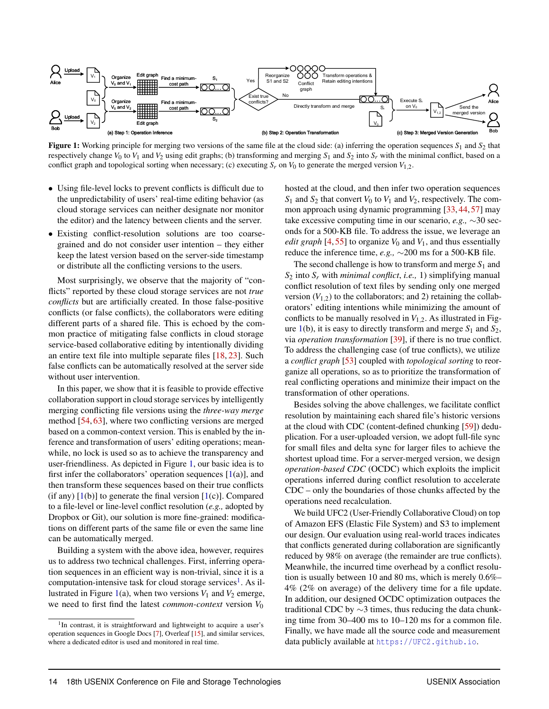<span id="page-2-0"></span>

Figure 1: Working principle for merging two versions of the same file at the cloud side: (a) inferring the operation sequences *S*<sup>1</sup> and *S*<sup>2</sup> that respectively change  $V_0$  to  $V_1$  and  $V_2$  using edit graphs; (b) transforming and merging  $S_1$  and  $S_2$  into  $S_r$  with the minimal conflict, based on a conflict graph and topological sorting when necessary; (c) executing  $S_r$  on  $V_0$  to generate the merged version  $V_{1,2}$ .

- Using file-level locks to prevent conflicts is difficult due to the unpredictability of users' real-time editing behavior (as cloud storage services can neither designate nor monitor the editor) and the latency between clients and the server.
- *•* Existing conflict-resolution solutions are too coarsegrained and do not consider user intention – they either keep the latest version based on the server-side timestamp or distribute all the conflicting versions to the users.

Most surprisingly, we observe that the majority of "conflicts" reported by these cloud storage services are not *true conflicts* but are artificially created. In those false-positive conflicts (or false conflicts), the collaborators were editing different parts of a shared file. This is echoed by the common practice of mitigating false conflicts in cloud storage service-based collaborative editing by intentionally dividing an entire text file into multiple separate files [\[18,](#page-13-7) [23\]](#page-13-8). Such false conflicts can be automatically resolved at the server side without user intervention.

In this paper, we show that it is feasible to provide effective collaboration support in cloud storage services by intelligently merging conflicting file versions using the *three-way merge* method [\[54,](#page-15-3) [63\]](#page-15-4), where two conflicting versions are merged based on a common-context version. This is enabled by the inference and transformation of users' editing operations; meanwhile, no lock is used so as to achieve the transparency and user-friendliness. As depicted in Figure [1,](#page-2-0) our basic idea is to first infer the collaborators' operation sequences  $[1(a)]$  $[1(a)]$ , and then transform these sequences based on their true conflicts (if any)  $[1(b)]$  $[1(b)]$  to generate the final version  $[1(c)]$ . Compared to a file-level or line-level conflict resolution (*e.g.,* adopted by Dropbox or Git), our solution is more fine-grained: modifications on different parts of the same file or even the same line can be automatically merged.

Building a system with the above idea, however, requires us to address two technical challenges. First, inferring operation sequences in an efficient way is non-trivial, since it is a computation-intensive task for cloud storage services<sup>1</sup>. As il-lustrated in Figure [1\(](#page-2-0)a), when two versions  $V_1$  and  $V_2$  emerge, we need to first find the latest *common-context* version  $V_0$ 

hosted at the cloud, and then infer two operation sequences  $S_1$  and  $S_2$  that convert  $V_0$  to  $V_1$  and  $V_2$ , respectively. The common approach using dynamic programming [\[33,](#page-14-0) [44,](#page-14-1) [57\]](#page-15-5) may take excessive computing time in our scenario,  $e.g., \sim 30$  seconds for a 500-KB file. To address the issue, we leverage an *edit graph* [\[4,](#page-13-11) [55\]](#page-15-6) to organize  $V_0$  and  $V_1$ , and thus essentially reduce the inference time,  $e.g., \sim 200$  ms for a 500-KB file.

The second challenge is how to transform and merge *S*<sup>1</sup> and  $S_2$  into  $S_r$  with *minimal conflict*, *i.e.*, 1) simplifying manual conflict resolution of text files by sending only one merged version  $(V_{1,2})$  to the collaborators; and 2) retaining the collaborators' editing intentions while minimizing the amount of conflicts to be manually resolved in  $V_{1,2}$ . As illustrated in Fig-ure [1\(](#page-2-0)b), it is easy to directly transform and merge  $S_1$  and  $S_2$ , via *operation transformation* [\[39\]](#page-14-2), if there is no true conflict. To address the challenging case (of true conflicts), we utilize a *conflict graph* [\[53\]](#page-15-7) coupled with *topological sorting* to reorganize all operations, so as to prioritize the transformation of real conflicting operations and minimize their impact on the transformation of other operations.

Besides solving the above challenges, we facilitate conflict resolution by maintaining each shared file's historic versions at the cloud with CDC (content-defined chunking [\[59\]](#page-15-8)) deduplication. For a user-uploaded version, we adopt full-file sync for small files and delta sync for larger files to achieve the shortest upload time. For a server-merged version, we design *operation-based CDC* (OCDC) which exploits the implicit operations inferred during conflict resolution to accelerate CDC – only the boundaries of those chunks affected by the operations need recalculation.

We build UFC2 (User-Friendly Collaborative Cloud) on top of Amazon EFS (Elastic File System) and S3 to implement our design. Our evaluation using real-world traces indicates that conflicts generated during collaboration are significantly reduced by 98% on average (the remainder are true conflicts). Meanwhile, the incurred time overhead by a conflict resolution is usually between 10 and 80 ms, which is merely 0.6%– 4% (2% on average) of the delivery time for a file update. In addition, our designed OCDC optimization outpaces the traditional CDC by  $\sim$ 3 times, thus reducing the data chunking time from 30–400 ms to 10–120 ms for a common file. Finally, we have made all the source code and measurement data publicly available at https://UFC2.qithub.io.

<span id="page-2-1"></span><sup>&</sup>lt;sup>1</sup>In contrast, it is straightforward and lightweight to acquire a user's operation sequences in Google Docs [\[7\]](#page-13-9), Overleaf [\[15\]](#page-13-10), and similar services, where a dedicated editor is used and monitored in real time.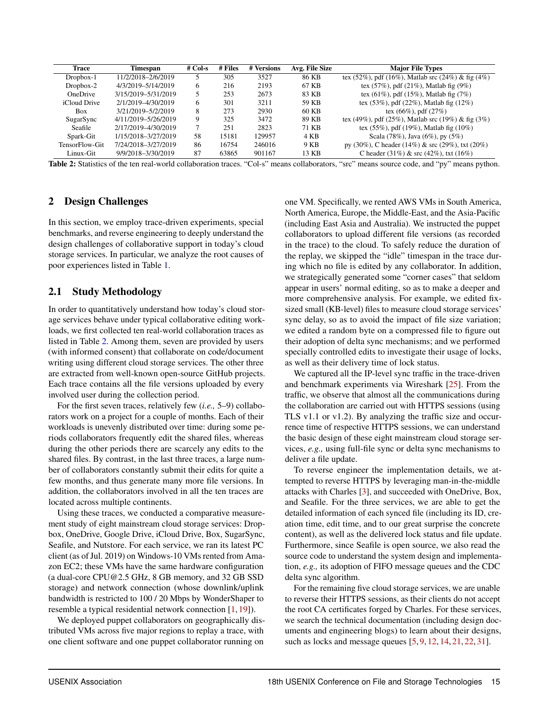<span id="page-3-0"></span>

| Trace           | Timespan            | $# Col-s$ | # Files | # Versions | Avg. File Size | <b>Major File Types</b>                           |
|-----------------|---------------------|-----------|---------|------------|----------------|---------------------------------------------------|
| Dropbox-1       | 11/2/2018-2/6/2019  |           | 305     | 3527       | 86 KB          | tex (52%), pdf (16%), Matlab src (24%) & fig (4%) |
| $Dropbox-2$     | 4/3/2019-5/14/2019  | 6         | 216     | 2193       | 67 KB          | tex $(57\%)$ , pdf $(21\%)$ , Matlab fig $(9\%)$  |
| <b>OneDrive</b> | 3/15/2019-5/31/2019 | 5         | 253     | 2673       | 83 KB          | tex $(61\%)$ , pdf $(15\%)$ , Matlab fig $(7\%)$  |
| iCloud Drive    | 2/1/2019-4/30/2019  | 6         | 301     | 3211       | 59 KB          | tex $(53\%)$ , pdf $(22\%)$ , Matlab fig $(12\%)$ |
| <b>Box</b>      | 3/21/2019-5/2/2019  | 8         | 273     | 2930       | 60 KB          | tex $(66\%)$ , pdf $(27\%)$                       |
| SugarSync       | 4/11/2019-5/26/2019 | 9         | 325     | 3472       | 89 KB          | tex (49%), pdf (25%), Matlab src (19%) & fig (3%) |
| Seafile         | 2/17/2019-4/30/2019 | 7         | 251     | 2823       | 71 KB          | tex $(55\%)$ , pdf $(19\%)$ , Matlab fig $(10\%)$ |
| Spark-Git       | 1/15/2018-3/27/2019 | 58        | 15181   | 129957     | 4 KB           | Scala $(78\%)$ , Java $(6\%)$ , py $(5\%)$        |
| TensorFlow-Git  | 7/24/2018-3/27/2019 | 86        | 16754   | 246016     | 9 KB           | py (30%), C header (14%) & src (29%), txt (20%)   |
| Linux-Git       | 9/9/2018-3/30/2019  | 87        | 63865   | 901167     | 13 KB          | C header $(31\%)$ & src $(42\%)$ , txt $(16\%)$   |

Table 2: Statistics of the ten real-world collaboration traces. "Col-s" means collaborators, "src" means source code, and "py" means python.

# <span id="page-3-1"></span>2 Design Challenges

In this section, we employ trace-driven experiments, special benchmarks, and reverse engineering to deeply understand the design challenges of collaborative support in today's cloud storage services. In particular, we analyze the root causes of poor experiences listed in Table [1.](#page-1-0)

#### <span id="page-3-2"></span>2.1 Study Methodology

In order to quantitatively understand how today's cloud storage services behave under typical collaborative editing workloads, we first collected ten real-world collaboration traces as listed in Table [2.](#page-3-0) Among them, seven are provided by users (with informed consent) that collaborate on code/document writing using different cloud storage services. The other three are extracted from well-known open-source GitHub projects. Each trace contains all the file versions uploaded by every involved user during the collection period.

For the first seven traces, relatively few (*i.e.,* 5–9) collaborators work on a project for a couple of months. Each of their workloads is unevenly distributed over time: during some periods collaborators frequently edit the shared files, whereas during the other periods there are scarcely any edits to the shared files. By contrast, in the last three traces, a large number of collaborators constantly submit their edits for quite a few months, and thus generate many more file versions. In addition, the collaborators involved in all the ten traces are located across multiple continents.

Using these traces, we conducted a comparative measurement study of eight mainstream cloud storage services: Dropbox, OneDrive, Google Drive, iCloud Drive, Box, SugarSync, Seafile, and Nutstore. For each service, we ran its latest PC client (as of Jul. 2019) on Windows-10 VMs rented from Amazon EC2; these VMs have the same hardware configuration (a dual-core CPU@2.5 GHz, 8 GB memory, and 32 GB SSD storage) and network connection (whose downlink/uplink bandwidth is restricted to 100 / 20 Mbps by WonderShaper to resemble a typical residential network connection [\[1,](#page-13-12) [19\]](#page-13-13)).

We deployed puppet collaborators on geographically distributed VMs across five major regions to replay a trace, with one client software and one puppet collaborator running on

one VM. Specifically, we rented AWS VMs in South America, North America, Europe, the Middle-East, and the Asia-Pacific (including East Asia and Australia). We instructed the puppet collaborators to upload different file versions (as recorded in the trace) to the cloud. To safely reduce the duration of the replay, we skipped the "idle" timespan in the trace during which no file is edited by any collaborator. In addition, we strategically generated some "corner cases" that seldom appear in users' normal editing, so as to make a deeper and more comprehensive analysis. For example, we edited fixsized small (KB-level) files to measure cloud storage services' sync delay, so as to avoid the impact of file size variation; we edited a random byte on a compressed file to figure out their adoption of delta sync mechanisms; and we performed specially controlled edits to investigate their usage of locks, as well as their delivery time of lock status.

We captured all the IP-level sync traffic in the trace-driven and benchmark experiments via Wireshark [\[25\]](#page-13-14). From the traffic, we observe that almost all the communications during the collaboration are carried out with HTTPS sessions (using TLS v1.1 or v1.2). By analyzing the traffic size and occurrence time of respective HTTPS sessions, we can understand the basic design of these eight mainstream cloud storage services, *e.g.,* using full-file sync or delta sync mechanisms to deliver a file update.

To reverse engineer the implementation details, we attempted to reverse HTTPS by leveraging man-in-the-middle attacks with Charles [\[3\]](#page-13-15), and succeeded with OneDrive, Box, and Seafile. For the three services, we are able to get the detailed information of each synced file (including its ID, creation time, edit time, and to our great surprise the concrete content), as well as the delivered lock status and file update. Furthermore, since Seafile is open source, we also read the source code to understand the system design and implementation, *e.g.,* its adoption of FIFO message queues and the CDC delta sync algorithm.

For the remaining five cloud storage services, we are unable to reverse their HTTPS sessions, as their clients do not accept the root CA certificates forged by Charles. For these services, we search the technical documentation (including design documents and engineering blogs) to learn about their designs, such as locks and message queues [\[5,](#page-13-16) [9,](#page-13-17) [12,](#page-13-18) [14,](#page-13-19) [21,](#page-13-20) [22,](#page-13-21) [31\]](#page-14-3).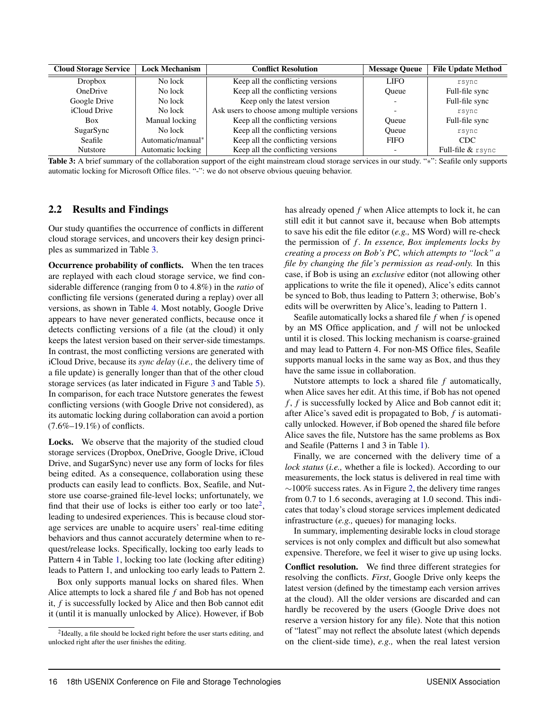<span id="page-4-0"></span>

| <b>Cloud Storage Service</b> | <b>Lock Mechanism</b> | <b>Conflict Resolution</b>                  | <b>Message Queue</b>     | <b>File Update Method</b> |
|------------------------------|-----------------------|---------------------------------------------|--------------------------|---------------------------|
| Dropbox                      | No lock               | Keep all the conflicting versions           | <b>LIFO</b>              | rsync                     |
| <b>OneDrive</b>              | No lock               | Keep all the conflicting versions           | <b>Oueue</b>             | Full-file sync            |
| Google Drive                 | No lock               | Keep only the latest version                |                          | Full-file sync            |
| iCloud Drive                 | No lock               | Ask users to choose among multiple versions | $\overline{\phantom{0}}$ | rsync                     |
| <b>Box</b>                   | Manual locking        | Keep all the conflicting versions           | <b>Oueue</b>             | Full-file sync            |
| SugarSync                    | No lock               | Keep all the conflicting versions           | Oueue                    | rsync                     |
| Seafile                      | Automatic/manual*     | Keep all the conflicting versions           | <b>FIFO</b>              | <b>CDC</b>                |
| <b>Nutstore</b>              | Automatic locking     | Keep all the conflicting versions           |                          | Full-file & rsync         |

Table 3: A brief summary of the collaboration support of the eight mainstream cloud storage services in our study. "\*": Seafile only supports automatic locking for Microsoft Office files. "-": we do not observe obvious queuing behavior.

#### <span id="page-4-2"></span>2.2 Results and Findings

Our study quantifies the occurrence of conflicts in different cloud storage services, and uncovers their key design principles as summarized in Table [3.](#page-4-0)

Occurrence probability of conflicts. When the ten traces are replayed with each cloud storage service, we find considerable difference (ranging from 0 to 4.8%) in the *ratio* of conflicting file versions (generated during a replay) over all versions, as shown in Table [4.](#page-5-0) Most notably, Google Drive appears to have never generated conflicts, because once it detects conflicting versions of a file (at the cloud) it only keeps the latest version based on their server-side timestamps. In contrast, the most conflicting versions are generated with iCloud Drive, because its *sync delay* (*i.e.,* the delivery time of a file update) is generally longer than that of the other cloud storage services (as later indicated in Figure [3](#page-5-1) and Table [5\)](#page-5-2). In comparison, for each trace Nutstore generates the fewest conflicting versions (with Google Drive not considered), as its automatic locking during collaboration can avoid a portion (7.6%–19.1%) of conflicts.

Locks. We observe that the majority of the studied cloud storage services (Dropbox, OneDrive, Google Drive, iCloud Drive, and SugarSync) never use any form of locks for files being edited. As a consequence, collaboration using these products can easily lead to conflicts. Box, Seafile, and Nutstore use coarse-grained file-level locks; unfortunately, we find that their use of locks is either too early or too late<sup>2</sup>, leading to undesired experiences. This is because cloud storage services are unable to acquire users' real-time editing behaviors and thus cannot accurately determine when to request/release locks. Specifically, locking too early leads to Pattern 4 in Table [1,](#page-1-0) locking too late (locking after editing) leads to Pattern 1, and unlocking too early leads to Pattern 2.

Box only supports manual locks on shared files. When Alice attempts to lock a shared file *f* and Bob has not opened it, *f* is successfully locked by Alice and then Bob cannot edit it (until it is manually unlocked by Alice). However, if Bob

has already opened *f* when Alice attempts to lock it, he can still edit it but cannot save it, because when Bob attempts to save his edit the file editor (*e.g.,* MS Word) will re-check the permission of *f* . *In essence, Box implements locks by creating a process on Bob's PC, which attempts to "lock" a file by changing the file's permission as read-only.* In this case, if Bob is using an *exclusive* editor (not allowing other applications to write the file it opened), Alice's edits cannot be synced to Bob, thus leading to Pattern 3; otherwise, Bob's edits will be overwritten by Alice's, leading to Pattern 1.

Seafile automatically locks a shared file *f* when *f* is opened by an MS Office application, and *f* will not be unlocked until it is closed. This locking mechanism is coarse-grained and may lead to Pattern 4. For non-MS Office files, Seafile supports manual locks in the same way as Box, and thus they have the same issue in collaboration.

Nutstore attempts to lock a shared file *f* automatically, when Alice saves her edit. At this time, if Bob has not opened *f* , *f* is successfully locked by Alice and Bob cannot edit it; after Alice's saved edit is propagated to Bob, *f* is automatically unlocked. However, if Bob opened the shared file before Alice saves the file, Nutstore has the same problems as Box and Seafile (Patterns 1 and 3 in Table [1\)](#page-1-0).

Finally, we are concerned with the delivery time of a *lock status* (*i.e.,* whether a file is locked). According to our measurements, the lock status is delivered in real time with  $\sim$ 100% success rates. As in Figure [2,](#page-5-1) the delivery time ranges from 0.7 to 1.6 seconds, averaging at 1.0 second. This indicates that today's cloud storage services implement dedicated infrastructure (*e.g.,* queues) for managing locks.

In summary, implementing desirable locks in cloud storage services is not only complex and difficult but also somewhat expensive. Therefore, we feel it wiser to give up using locks.

Conflict resolution. We find three different strategies for resolving the conflicts. *First*, Google Drive only keeps the latest version (defined by the timestamp each version arrives at the cloud). All the older versions are discarded and can hardly be recovered by the users (Google Drive does not reserve a version history for any file). Note that this notion of "latest" may not reflect the absolute latest (which depends on the client-side time), *e.g.,* when the real latest version

<span id="page-4-1"></span><sup>&</sup>lt;sup>2</sup>Ideally, a file should be locked right before the user starts editing, and unlocked right after the user finishes the editing.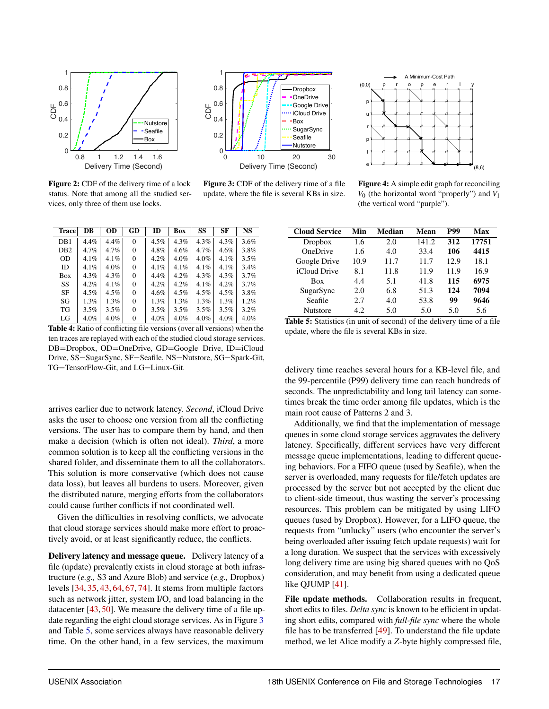<span id="page-5-1"></span>

Figure 2: CDF of the delivery time of a lock status. Note that among all the studied services, only three of them use locks.



Figure 3: CDF of the delivery time of a file update, where the file is several KBs in size.

<span id="page-5-0"></span>

| <b>Trace</b>    | DB   | <b>OD</b> | GD       | ID      | Box     | SS      | <b>SF</b> | <b>NS</b> |
|-----------------|------|-----------|----------|---------|---------|---------|-----------|-----------|
| DB <sub>1</sub> | 4.4% | 4.4%      | $\Omega$ | $4.5\%$ | 4.3%    | $4.3\%$ | 4.3%      | 3.6%      |
| D <sub>B2</sub> | 4.7% | 4.7%      | $\Omega$ | 4.8%    | 4.6%    | 4.7%    | 4.6%      | 3.8%      |
| <b>OD</b>       | 4.1% | 4.1%      | $\Omega$ | $4.2\%$ | 4.0%    | $4.0\%$ | 4.1%      | 3.5%      |
| ID              | 4.1% | 4.0%      | 0        | 4.1%    | 4.1%    | 4.1%    | $4.1\%$   | 3.4%      |
| Box             | 4.3% | 4.3%      | $\Omega$ | $4.4\%$ | $4.2\%$ | $4.3\%$ | 4.3%      | 3.7%      |
| SS              | 4.2% | 4.1%      | $\Omega$ | 4.2%    | $4.2\%$ | $4.1\%$ | 4.2%      | 3.7%      |
| SF              | 4.5% | 4.5%      | 0        | 4.6%    | 4.5%    | $4.5\%$ | 4.5%      | 3.8%      |
| SG              | 1.3% | $1.3\%$   | 0        | $1.3\%$ | $1.3\%$ | $1.3\%$ | $1.3\%$   | 1.2%      |
| TG              | 3.5% | 3.5%      | 0        | 3.5%    | $3.5\%$ | $3.5\%$ | 3.5%      | 3.2%      |
| LG              | 4.0% | 4.0%      | 0        | 4.0%    | 4.0%    | 4.0%    | 4.0%      | 4.0%      |

Table 4: Ratio of conflicting file versions (over all versions) when the ten traces are replayed with each of the studied cloud storage services. DB=Dropbox, OD=OneDrive, GD=Google Drive, ID=iCloud Drive, SS=SugarSync, SF=Seafile, NS=Nutstore, SG=Spark-Git, TG=TensorFlow-Git, and LG=Linux-Git.

arrives earlier due to network latency. *Second*, iCloud Drive asks the user to choose one version from all the conflicting versions. The user has to compare them by hand, and then make a decision (which is often not ideal). *Third*, a more common solution is to keep all the conflicting versions in the shared folder, and disseminate them to all the collaborators. This solution is more conservative (which does not cause data loss), but leaves all burdens to users. Moreover, given the distributed nature, merging efforts from the collaborators could cause further conflicts if not coordinated well.

Given the difficulties in resolving conflicts, we advocate that cloud storage services should make more effort to proactively avoid, or at least significantly reduce, the conflicts.

Delivery latency and message queue. Delivery latency of a file (update) prevalently exists in cloud storage at both infrastructure (*e.g.,* S3 and Azure Blob) and service (*e.g.,* Dropbox) levels [\[34,](#page-14-4) [35,](#page-14-5) [43,](#page-14-6) [64,](#page-15-9) [67,](#page-15-10) [74\]](#page-15-11). It stems from multiple factors such as network jitter, system I/O, and load balancing in the datacenter [\[43,](#page-14-6) [50\]](#page-14-7). We measure the delivery time of a file update regarding the eight cloud storage services. As in Figure [3](#page-5-1) and Table [5,](#page-5-2) some services always have reasonable delivery time. On the other hand, in a few services, the maximum



Figure 4: A simple edit graph for reconciling *V*<sup>0</sup> (the horizontal word "properly") and *V*<sup>1</sup> (the vertical word "purple").

<span id="page-5-2"></span>

| <b>Cloud Service</b> | Min  | Median | Mean  | <b>P99</b> | Max   |
|----------------------|------|--------|-------|------------|-------|
| Dropbox              | 1.6  | 2.0    | 141.2 | 312        | 17751 |
| <b>OneDrive</b>      | 1.6  | 4.0    | 33.4  | 106        | 4415  |
| Google Drive         | 10.9 | 11.7   | 11.7  | 12.9       | 18.1  |
| iCloud Drive         | 8.1  | 11.8   | 11.9  | 11.9       | 16.9  |
| <b>Box</b>           | 4.4  | 5.1    | 41.8  | 115        | 6975  |
| SugarSync            | 2.0  | 6.8    | 51.3  | 124        | 7094  |
| Seafile              | 2.7  | 4.0    | 53.8  | 99         | 9646  |
| <b>Nutstore</b>      | 4.2. | 5.0    | 5.0   | 5.0        | 5.6   |

Table 5: Statistics (in unit of second) of the delivery time of a file update, where the file is several KBs in size.

delivery time reaches several hours for a KB-level file, and the 99-percentile (P99) delivery time can reach hundreds of seconds. The unpredictability and long tail latency can sometimes break the time order among file updates, which is the main root cause of Patterns 2 and 3.

Additionally, we find that the implementation of message queues in some cloud storage services aggravates the delivery latency. Specifically, different services have very different message queue implementations, leading to different queueing behaviors. For a FIFO queue (used by Seafile), when the server is overloaded, many requests for file/fetch updates are processed by the server but not accepted by the client due to client-side timeout, thus wasting the server's processing resources. This problem can be mitigated by using LIFO queues (used by Dropbox). However, for a LIFO queue, the requests from "unlucky" users (who encounter the server's being overloaded after issuing fetch update requests) wait for a long duration. We suspect that the services with excessively long delivery time are using big shared queues with no QoS consideration, and may benefit from using a dedicated queue like QJUMP [\[41\]](#page-14-8).

File update methods. Collaboration results in frequent, short edits to files. *Delta sync* is known to be efficient in updating short edits, compared with *full-file sync* where the whole file has to be transferred [\[49\]](#page-14-9). To understand the file update method, we let Alice modify a *Z*-byte highly compressed file,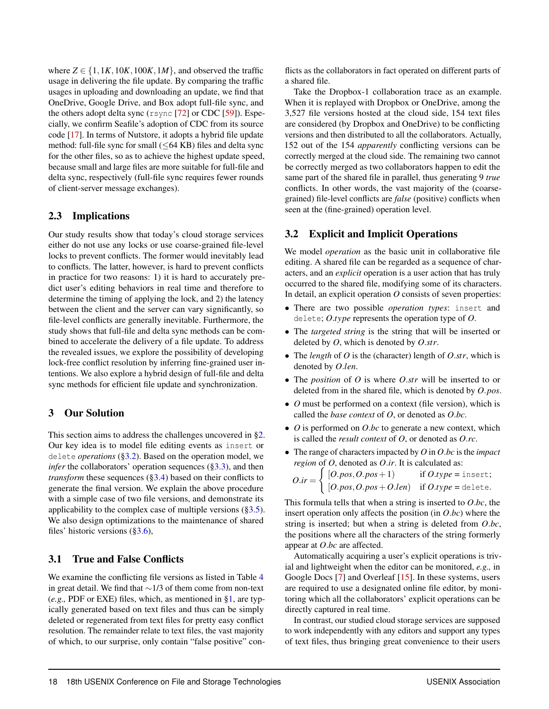where  $Z \in \{1, 1K, 10K, 100K, 1M\}$ , and observed the traffic usage in delivering the file update. By comparing the traffic usages in uploading and downloading an update, we find that OneDrive, Google Drive, and Box adopt full-file sync, and the others adopt delta sync (rsync [\[72\]](#page-15-12) or CDC [\[59\]](#page-15-8)). Especially, we confirm Seafile's adoption of CDC from its source code [\[17\]](#page-13-22). In terms of Nutstore, it adopts a hybrid file update method: full-file sync for small  $( $64$  KB) files and delta sync$ for the other files, so as to achieve the highest update speed, because small and large files are more suitable for full-file and delta sync, respectively (full-file sync requires fewer rounds of client-server message exchanges).

# 2.3 Implications

Our study results show that today's cloud storage services either do not use any locks or use coarse-grained file-level locks to prevent conflicts. The former would inevitably lead to conflicts. The latter, however, is hard to prevent conflicts in practice for two reasons: 1) it is hard to accurately predict user's editing behaviors in real time and therefore to determine the timing of applying the lock, and 2) the latency between the client and the server can vary significantly, so file-level conflicts are generally inevitable. Furthermore, the study shows that full-file and delta sync methods can be combined to accelerate the delivery of a file update. To address the revealed issues, we explore the possibility of developing lock-free conflict resolution by inferring fine-grained user intentions. We also explore a hybrid design of full-file and delta sync methods for efficient file update and synchronization.

# 3 Our Solution

This section aims to address the challenges uncovered in [§2.](#page-3-1) Our key idea is to model file editing events as insert or delete *operations* ([§3.2\)](#page-6-0). Based on the operation model, we *infer* the collaborators' operation sequences ([§3.3\)](#page-7-0), and then *transform* these sequences ([§3.4\)](#page-7-1) based on their conflicts to generate the final version. We explain the above procedure with a simple case of two file versions, and demonstrate its applicability to the complex case of multiple versions ([§3.5\)](#page-9-0). We also design optimizations to the maintenance of shared files' historic versions ([§3.6\)](#page-9-1),

#### <span id="page-6-1"></span>3.1 True and False Conflicts

We examine the conflicting file versions as listed in Table [4](#page-5-0) in great detail. We find that  $\sim$ 1/3 of them come from non-text (*e.g.,* PDF or EXE) files, which, as mentioned in [§1,](#page-1-1) are typically generated based on text files and thus can be simply deleted or regenerated from text files for pretty easy conflict resolution. The remainder relate to text files, the vast majority of which, to our surprise, only contain "false positive" con-

flicts as the collaborators in fact operated on different parts of a shared file.

Take the Dropbox-1 collaboration trace as an example. When it is replayed with Dropbox or OneDrive, among the 3,527 file versions hosted at the cloud side, 154 text files are considered (by Dropbox and OneDrive) to be conflicting versions and then distributed to all the collaborators. Actually, 152 out of the 154 *apparently* conflicting versions can be correctly merged at the cloud side. The remaining two cannot be correctly merged as two collaborators happen to edit the same part of the shared file in parallel, thus generating 9 *true* conflicts. In other words, the vast majority of the (coarsegrained) file-level conflicts are *false* (positive) conflicts when seen at the (fine-grained) operation level.

# <span id="page-6-0"></span>3.2 Explicit and Implicit Operations

We model *operation* as the basic unit in collaborative file editing. A shared file can be regarded as a sequence of characters, and an *explicit* operation is a user action that has truly occurred to the shared file, modifying some of its characters. In detail, an explicit operation *O* consists of seven properties:

- *•* There are two possible *operation types*: insert and delete; *O.type* represents the operation type of *O*.
- *•* The *targeted string* is the string that will be inserted or deleted by *O*, which is denoted by *O.str*.
- *•* The *length* of *O* is the (character) length of *O.str*, which is denoted by *O.len*.
- *•* The *position* of *O* is where *O.str* will be inserted to or deleted from in the shared file, which is denoted by *O.pos*.
- *• O* must be performed on a context (file version), which is called the *base context* of *O*, or denoted as *O.bc*.
- *• O* is performed on *O.bc* to generate a new context, which is called the *result context* of *O*, or denoted as *O.rc*.
- *•* The range of characters impacted by *O* in *O.bc* is the *impact region* of *O*, denoted as *O.ir*. It is calculated as:

$$
O.ir = \begin{cases} [O.pos, O.pos + 1) & \text{if } O.type = \text{insert}; \\ [O.pos, O.pos + O.len) & \text{if } O.type = \text{delete}. \end{cases}
$$

This formula tells that when a string is inserted to *O.bc*, the insert operation only affects the position (in *O.bc*) where the string is inserted; but when a string is deleted from *O.bc*, the positions where all the characters of the string formerly appear at *O.bc* are affected.

Automatically acquiring a user's explicit operations is trivial and lightweight when the editor can be monitored, *e.g.,* in Google Docs [\[7\]](#page-13-9) and Overleaf [\[15\]](#page-13-10). In these systems, users are required to use a designated online file editor, by monitoring which all the collaborators' explicit operations can be directly captured in real time.

In contrast, our studied cloud storage services are supposed to work independently with any editors and support any types of text files, thus bringing great convenience to their users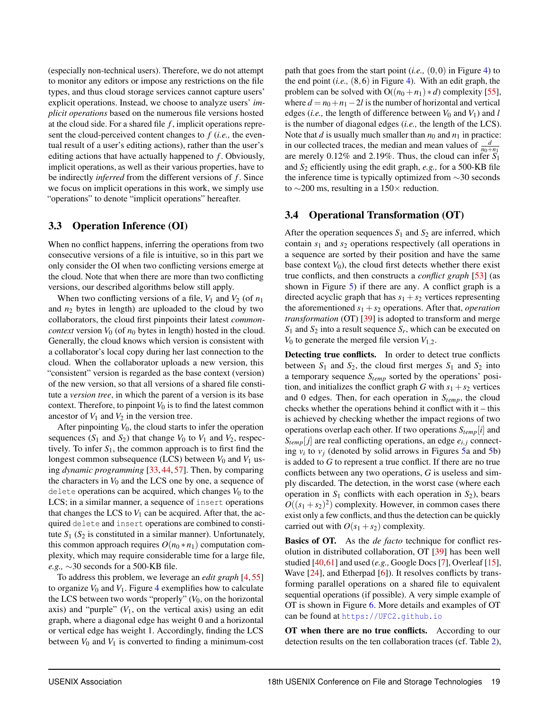(especially non-technical users). Therefore, we do not attempt to monitor any editors or impose any restrictions on the file types, and thus cloud storage services cannot capture users' explicit operations. Instead, we choose to analyze users' *implicit operations* based on the numerous file versions hosted at the cloud side. For a shared file *f* , implicit operations represent the cloud-perceived content changes to *f* (*i.e.,* the eventual result of a user's editing actions), rather than the user's editing actions that have actually happened to *f* . Obviously, implicit operations, as well as their various properties, have to be indirectly *inferred* from the different versions of *f* . Since we focus on implicit operations in this work, we simply use "operations" to denote "implicit operations" hereafter.

# <span id="page-7-0"></span>3.3 Operation Inference (OI)

When no conflict happens, inferring the operations from two consecutive versions of a file is intuitive, so in this part we only consider the OI when two conflicting versions emerge at the cloud. Note that when there are more than two conflicting versions, our described algorithms below still apply.

When two conflicting versions of a file,  $V_1$  and  $V_2$  (of  $n_1$ ) and *n*<sup>2</sup> bytes in length) are uploaded to the cloud by two collaborators, the cloud first pinpoints their latest *commoncontext* version  $V_0$  (of  $n_0$  bytes in length) hosted in the cloud. Generally, the cloud knows which version is consistent with a collaborator's local copy during her last connection to the cloud. When the collaborator uploads a new version, this "consistent" version is regarded as the base context (version) of the new version, so that all versions of a shared file constitute a *version tree*, in which the parent of a version is its base context. Therefore, to pinpoint  $V_0$  is to find the latest common ancestor of  $V_1$  and  $V_2$  in the version tree.

After pinpointing  $V_0$ , the cloud starts to infer the operation sequences  $(S_1 \text{ and } S_2)$  that change  $V_0$  to  $V_1$  and  $V_2$ , respectively. To infer  $S_1$ , the common approach is to first find the longest common subsequence (LCS) between  $V_0$  and  $V_1$  using *dynamic programming* [\[33,](#page-14-0) [44,](#page-14-1) [57\]](#page-15-5). Then, by comparing the characters in *V*<sup>0</sup> and the LCS one by one, a sequence of delete operations can be acquired, which changes  $V_0$  to the LCS; in a similar manner, a sequence of insert operations that changes the LCS to  $V_1$  can be acquired. After that, the acquired delete and insert operations are combined to constitute  $S_1$  ( $S_2$  is constituted in a similar manner). Unfortunately, this common approach requires  $O(n_0 * n_1)$  computation complexity, which may require considerable time for a large file, *e.g.,*  $\sim$ 30 seconds for a 500-KB file.

To address this problem, we leverage an *edit graph* [\[4,](#page-13-11) [55\]](#page-15-6) to organize  $V_0$  and  $V_1$ . Figure [4](#page-5-1) exemplifies how to calculate the LCS between two words "properly"  $(V_0)$ , on the horizontal axis) and "purple"  $(V_1)$ , on the vertical axis) using an edit graph, where a diagonal edge has weight 0 and a horizontal or vertical edge has weight 1. Accordingly, finding the LCS between  $V_0$  and  $V_1$  is converted to finding a minimum-cost path that goes from the start point  $(i.e., (0,0))$  in Figure [4\)](#page-5-1) to the end point (*i.e.,* (8*,*6) in Figure [4\)](#page-5-1). With an edit graph, the problem can be solved with  $O((n_0 + n_1) * d)$  complexity [\[55\]](#page-15-6), where  $d = n_0 + n_1 - 2l$  is the number of horizontal and vertical edges (*i.e.*, the length of difference between  $V_0$  and  $V_1$ ) and *l* is the number of diagonal edges (*i.e.,* the length of the LCS). Note that *d* is usually much smaller than  $n_0$  and  $n_1$  in practice: in our collected traces, the median and mean values of  $\frac{d}{n_0+n_1}$ are merely 0.12% and 2.19%. Thus, the cloud can infer *S*<sup>1</sup> and *S*<sup>2</sup> efficiently using the edit graph, *e.g.,* for a 500-KB file the inference time is typically optimized from  $\sim$ 30 seconds to  $\sim$ 200 ms, resulting in a 150 $\times$  reduction.

# <span id="page-7-1"></span>3.4 Operational Transformation (OT)

After the operation sequences  $S_1$  and  $S_2$  are inferred, which contain *s*<sup>1</sup> and *s*<sup>2</sup> operations respectively (all operations in a sequence are sorted by their position and have the same base context  $V_0$ ), the cloud first detects whether there exist true conflicts, and then constructs a *conflict graph* [\[53\]](#page-15-7) (as shown in Figure [5\)](#page-8-0) if there are any. A conflict graph is a directed acyclic graph that has  $s_1 + s_2$  vertices representing the aforementioned  $s_1 + s_2$  operations. After that, *operation transformation* (OT) [\[39\]](#page-14-2) is adopted to transform and merge  $S_1$  and  $S_2$  into a result sequence  $S_r$ , which can be executed on  $V_0$  to generate the merged file version  $V_{1,2}$ .

Detecting true conflicts. In order to detect true conflicts between  $S_1$  and  $S_2$ , the cloud first merges  $S_1$  and  $S_2$  into a temporary sequence *Stemp* sorted by the operations' position, and initializes the conflict graph *G* with  $s_1 + s_2$  vertices and 0 edges. Then, for each operation in *Stemp*, the cloud checks whether the operations behind it conflict with it – this is achieved by checking whether the impact regions of two operations overlap each other. If two operations *Stemp*[*i*] and  $S_{temp}[j]$  are real conflicting operations, an edge  $e_{i,j}$  connecting  $v_i$  to  $v_j$  (denoted by solid arrows in Figures [5a](#page-8-0) and [5b](#page-8-0)) is added to *G* to represent a true conflict. If there are no true conflicts between any two operations, *G* is useless and simply discarded. The detection, in the worst case (where each operation in  $S_1$  conflicts with each operation in  $S_2$ ), bears  $O((s_1 + s_2)^2)$  complexity. However, in common cases there exist only a few conflicts, and thus the detection can be quickly carried out with  $O(s_1 + s_2)$  complexity.

Basics of OT. As the *de facto* technique for conflict resolution in distributed collaboration, OT [\[39\]](#page-14-2) has been well studied [\[40,](#page-14-10)[61\]](#page-15-13) and used (*e.g.,* Google Docs [\[7\]](#page-13-9), Overleaf [\[15\]](#page-13-10), Wave [\[24\]](#page-13-23), and Etherpad [\[6\]](#page-13-24)). It resolves conflicts by transforming parallel operations on a shared file to equivalent sequential operations (if possible). A very simple example of OT is shown in Figure [6.](#page-8-1) More details and examples of OT can be found at <https://UFC2.github.io>

OT when there are no true conflicts. According to our detection results on the ten collaboration traces (cf. Table [2\)](#page-3-0),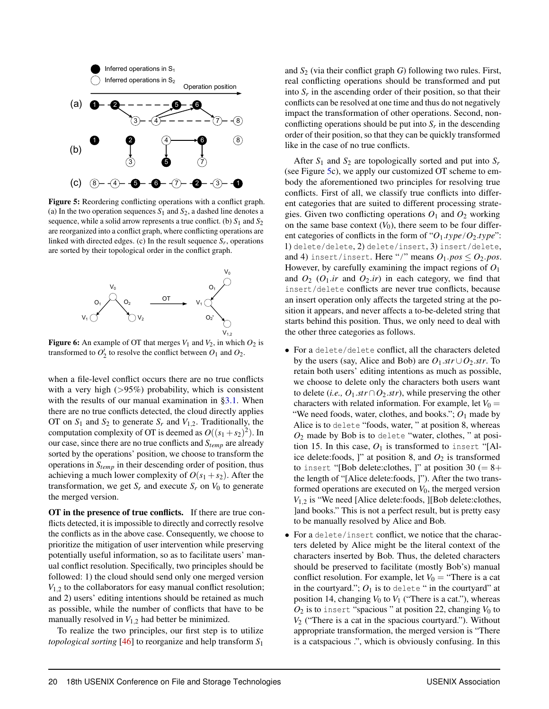<span id="page-8-0"></span>

Figure 5: Reordering conflicting operations with a conflict graph. (a) In the two operation sequences  $S_1$  and  $S_2$ , a dashed line denotes a sequence, while a solid arrow represents a true conflict. (b)  $S_1$  and  $S_2$ are reorganized into a conflict graph, where conflicting operations are linked with directed edges. (c) In the result sequence  $S_r$ , operations are sorted by their topological order in the conflict graph.

<span id="page-8-1"></span>

**Figure 6:** An example of OT that merges  $V_1$  and  $V_2$ , in which  $O_2$  is transformed to  $O'_2$  to resolve the conflict between  $O_1$  and  $O_2$ .

when a file-level conflict occurs there are no true conflicts with a very high (*>*95%) probability, which is consistent with the results of our manual examination in [§3.1.](#page-6-1) When there are no true conflicts detected, the cloud directly applies OT on  $S_1$  and  $S_2$  to generate  $S_r$  and  $V_{1,2}$ . Traditionally, the computation complexity of OT is deemed as  $O((s_1 + s_2)^2)$ . In our case, since there are no true conflicts and *Stemp* are already sorted by the operations' position, we choose to transform the operations in  $S_{temp}$  in their descending order of position, thus achieving a much lower complexity of  $O(s_1 + s_2)$ . After the transformation, we get  $S_r$  and execute  $S_r$  on  $V_0$  to generate the merged version.

OT in the presence of true conflicts. If there are true conflicts detected, it is impossible to directly and correctly resolve the conflicts as in the above case. Consequently, we choose to prioritize the mitigation of user intervention while preserving potentially useful information, so as to facilitate users' manual conflict resolution. Specifically, two principles should be followed: 1) the cloud should send only one merged version *V*1*,*<sup>2</sup> to the collaborators for easy manual conflict resolution; and 2) users' editing intentions should be retained as much as possible, while the number of conflicts that have to be manually resolved in *V*1*,*<sup>2</sup> had better be minimized.

To realize the two principles, our first step is to utilize *topological sorting* [\[46\]](#page-14-11) to reorganize and help transform *S*<sup>1</sup>

and  $S<sub>2</sub>$  (via their conflict graph *G*) following two rules. First, real conflicting operations should be transformed and put into  $S_r$  in the ascending order of their position, so that their conflicts can be resolved at one time and thus do not negatively impact the transformation of other operations. Second, nonconflicting operations should be put into  $S_r$  in the descending order of their position, so that they can be quickly transformed like in the case of no true conflicts.

After  $S_1$  and  $S_2$  are topologically sorted and put into  $S_r$ (see Figure [5c](#page-8-0)), we apply our customized OT scheme to embody the aforementioned two principles for resolving true conflicts. First of all, we classify true conflicts into different categories that are suited to different processing strategies. Given two conflicting operations  $O_1$  and  $O_2$  working on the same base context  $(V_0)$ , there seem to be four different categories of conflicts in the form of " $O_1$ *type*/ $O_2$ *type*": 1) delete/delete, 2) delete/insert, 3) insert/delete, and 4) insert/insert. Here "/" means  $O_1$ *, pos*  $\leq O_2$ *, pos*. However, by carefully examining the impact regions of *O*<sup>1</sup> and  $O_2$  ( $O_1$ *ir* and  $O_2$ *ir*) in each category, we find that insert/delete conflicts are never true conflicts, because an insert operation only affects the targeted string at the position it appears, and never affects a to-be-deleted string that starts behind this position. Thus, we only need to deal with the other three categories as follows.

- *•* For a delete/delete conflict, all the characters deleted by the users (say, Alice and Bob) are  $O_1$ *.str* $\cup O_2$ *.str*. To retain both users' editing intentions as much as possible, we choose to delete only the characters both users want to delete (*i.e.*,  $O_1 \, str \cap O_2 \, str$ ), while preserving the other characters with related information. For example, let  $V_0 =$ "We need foods, water, clothes, and books.";  $O_1$  made by Alice is to delete "foods, water, " at position 8, whereas *O*<sup>2</sup> made by Bob is to delete "water, clothes, " at position 15. In this case,  $O_1$  is transformed to insert "[Alice delete:foods, ]" at position 8, and  $O_2$  is transformed to insert "[Bob delete:clothes, ]" at position 30 (=  $8+$ the length of "[Alice delete:foods, ]"). After the two transformed operations are executed on  $V_0$ , the merged version *V*1*,*<sup>2</sup> is "We need [Alice delete:foods, ][Bob delete:clothes, ]and books." This is not a perfect result, but is pretty easy to be manually resolved by Alice and Bob.
- *•* For a delete/insert conflict, we notice that the characters deleted by Alice might be the literal context of the characters inserted by Bob. Thus, the deleted characters should be preserved to facilitate (mostly Bob's) manual conflict resolution. For example, let  $V_0$  = "There is a cat in the courtyard.";  $O_1$  is to delete " in the courtyard" at position 14, changing  $V_0$  to  $V_1$  ("There is a cat."), whereas  $O_2$  is to insert "spacious" at position 22, changing  $V_0$  to  $V_2$  ("There is a cat in the spacious courtyard."). Without appropriate transformation, the merged version is "There is a catspacious .", which is obviously confusing. In this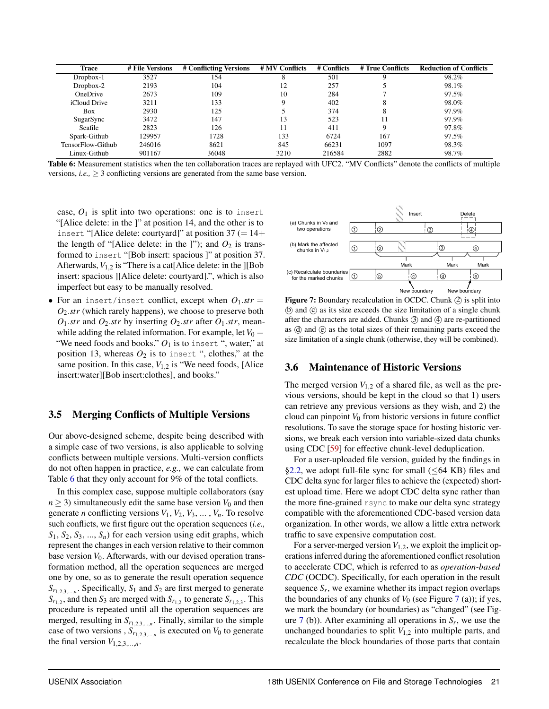<span id="page-9-2"></span>

| Trace             | # File Versions | # Conflicting Versions | # MV Conflicts | # Conflicts | # True Conflicts | <b>Reduction of Conflicts</b> |
|-------------------|-----------------|------------------------|----------------|-------------|------------------|-------------------------------|
| Dropbox-1         | 3527            | 154                    | Ω              | 501         |                  | 98.2%                         |
| $Dropbox-2$       | 2193            | 104                    | 12             | 257         |                  | 98.1%                         |
| <b>OneDrive</b>   | 2673            | 109                    | 10             | 284         |                  | 97.5%                         |
| iCloud Drive      | 3211            | 133                    |                | 402         | δ                | 98.0%                         |
| Box               | 2930            | 125                    |                | 374         | 8                | 97.9%                         |
| SugarSync         | 3472            | 147                    | 13             | 523         | 11               | 97.9%                         |
| Seafile           | 2823            | 126                    |                | 411         | Q                | 97.8%                         |
| Spark-Github      | 129957          | 1728                   | 133            | 6724        | 167              | 97.5%                         |
| TensorFlow-Github | 246016          | 8621                   | 845            | 66231       | 1097             | 98.3%                         |
| Linux-Github      | 901167          | 36048                  | 3210           | 216584      | 2882             | 98.7%                         |

Table 6: Measurement statistics when the ten collaboration traces are replayed with UFC2. "MV Conflicts" denote the conflicts of multiple versions, *i.e.*,  $\geq$  3 conflicting versions are generated from the same base version.

case,  $O_1$  is split into two operations: one is to insert "[Alice delete: in the ]" at position 14, and the other is to insert "[Alice delete: courtyard]" at position  $37 (= 14+)$ the length of "[Alice delete: in the ]"); and  $O_2$  is transformed to insert "[Bob insert: spacious ]" at position 37. Afterwards,  $V_{1,2}$  is "There is a cat[Alice delete: in the ][Bob insert: spacious ][Alice delete: courtyard].", which is also imperfect but easy to be manually resolved.

• For an insert/insert conflict, except when  $O_1$ *.str* = *O*2*.str* (which rarely happens), we choose to preserve both  $O_1$ *.str* and  $O_2$ *.str* by inserting  $O_2$ *.str* after  $O_1$ *.str*, meanwhile adding the related information. For example, let  $V_0 =$ "We need foods and books."  $O_1$  is to insert ", water," at position 13, whereas  $O_2$  is to insert ", clothes," at the same position. In this case,  $V_{1,2}$  is "We need foods, [Alice insert:water][Bob insert:clothes], and books."

#### <span id="page-9-0"></span>3.5 Merging Conflicts of Multiple Versions

Our above-designed scheme, despite being described with a simple case of two versions, is also applicable to solving conflicts between multiple versions. Multi-version conflicts do not often happen in practice, *e.g.,* we can calculate from Table [6](#page-9-2) that they only account for 9% of the total conflicts.

In this complex case, suppose multiple collaborators (say  $n \geq 3$ ) simultaneously edit the same base version  $V_0$  and then generate *n* conflicting versions  $V_1$ ,  $V_2$ ,  $V_3$ , ...,  $V_n$ . To resolve such conflicts, we first figure out the operation sequences (*i.e.,*  $S_1$ ,  $S_2$ ,  $S_3$ , ...,  $S_n$ ) for each version using edit graphs, which represent the changes in each version relative to their common base version  $V_0$ . Afterwards, with our devised operation transformation method, all the operation sequences are merged one by one, so as to generate the result operation sequence  $S_{r_{1,2,3,\dots,n}}$ . Specifically,  $S_1$  and  $S_2$  are first merged to generate  $S_{r_{1,2}}$ , and then  $S_3$  are merged with  $S_{r_{1,2}}$  to generate  $S_{r_{1,2,3}}$ . This procedure is repeated until all the operation sequences are merged, resulting in  $S_{r_1, r_2, \ldots, r_n}$ . Finally, similar to the simple case of two versions ,  $S_{r_{1,2,3,...,n}}$  is executed on  $V_0$  to generate the final version  $V_{1,2,3,\ldots,n}$ .

<span id="page-9-3"></span>

Figure 7: Boundary recalculation in OCDC. Chunk (2) is split into  $(b)$  and  $(c)$  as its size exceeds the size limitation of a single chunk after the characters are added. Chunks  $(3)$  and  $(4)$  are re-partitioned as  $\circled{d}$  and  $\circled{e}$  as the total sizes of their remaining parts exceed the size limitation of a single chunk (otherwise, they will be combined).

#### <span id="page-9-1"></span>3.6 Maintenance of Historic Versions

The merged version  $V_{1,2}$  of a shared file, as well as the previous versions, should be kept in the cloud so that 1) users can retrieve any previous versions as they wish, and 2) the cloud can pinpoint  $V_0$  from historic versions in future conflict resolutions. To save the storage space for hosting historic versions, we break each version into variable-sized data chunks using CDC [\[59\]](#page-15-8) for effective chunk-level deduplication.

For a user-uploaded file version, guided by the findings in [§2.2,](#page-4-2) we adopt full-file sync for small ( $\leq 64$  KB) files and CDC delta sync for larger files to achieve the (expected) shortest upload time. Here we adopt CDC delta sync rather than the more fine-grained rsync to make our delta sync strategy compatible with the aforementioned CDC-based version data organization. In other words, we allow a little extra network traffic to save expensive computation cost.

For a server-merged version  $V_{1,2}$ , we exploit the implicit operations inferred during the aforementioned conflict resolution to accelerate CDC, which is referred to as *operation-based CDC* (OCDC). Specifically, for each operation in the result sequence  $S_r$ , we examine whether its impact region overlaps the boundaries of any chunks of  $V_0$  (see Figure [7](#page-9-3) (a)); if yes, we mark the boundary (or boundaries) as "changed" (see Figure  $7$  (b)). After examining all operations in  $S_r$ , we use the unchanged boundaries to split  $V_{1,2}$  into multiple parts, and recalculate the block boundaries of those parts that contain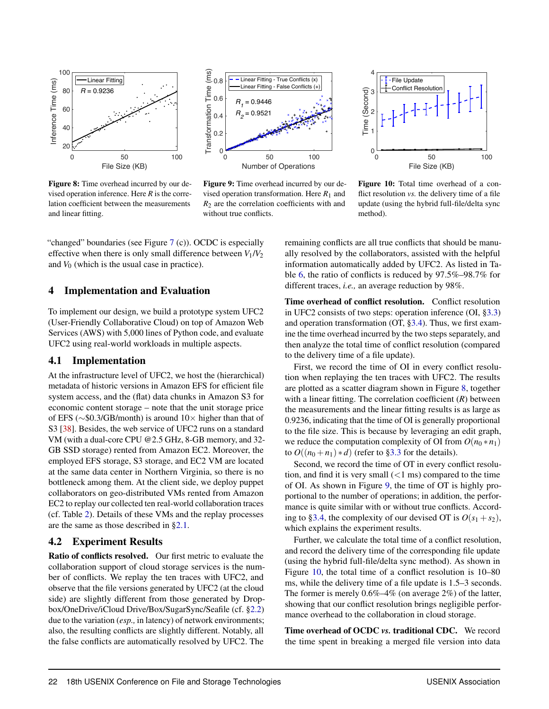<span id="page-10-0"></span>

Figure 8: Time overhead incurred by our devised operation inference. Here *R* is the correlation coefficient between the measurements and linear fitting.



Figure 9: Time overhead incurred by our devised operation transformation. Here  $R_1$  and  $R<sub>2</sub>$  are the correlation coefficients with and without true conflicts.



Figure 10: Total time overhead of a conflict resolution *vs.* the delivery time of a file update (using the hybrid full-file/delta sync method).

"changed" boundaries (see Figure [7](#page-9-3) (c)). OCDC is especially effective when there is only small difference between  $V_1/V_2$ and  $V_0$  (which is the usual case in practice).

#### 4 Implementation and Evaluation

To implement our design, we build a prototype system UFC2 (User-Friendly Collaborative Cloud) on top of Amazon Web Services (AWS) with 5,000 lines of Python code, and evaluate UFC2 using real-world workloads in multiple aspects.

#### 4.1 Implementation

At the infrastructure level of UFC2, we host the (hierarchical) metadata of historic versions in Amazon EFS for efficient file system access, and the (flat) data chunks in Amazon S3 for economic content storage – note that the unit storage price of EFS ( $\sim$ \$0.3/GB/month) is around 10 $\times$  higher than that of S3 [\[38\]](#page-14-12). Besides, the web service of UFC2 runs on a standard VM (with a dual-core CPU @2.5 GHz, 8-GB memory, and 32- GB SSD storage) rented from Amazon EC2. Moreover, the employed EFS storage, S3 storage, and EC2 VM are located at the same data center in Northern Virginia, so there is no bottleneck among them. At the client side, we deploy puppet collaborators on geo-distributed VMs rented from Amazon EC2 to replay our collected ten real-world collaboration traces (cf. Table [2\)](#page-3-0). Details of these VMs and the replay processes are the same as those described in [§2.1.](#page-3-2)

#### 4.2 Experiment Results

Ratio of conflicts resolved. Our first metric to evaluate the collaboration support of cloud storage services is the number of conflicts. We replay the ten traces with UFC2, and observe that the file versions generated by UFC2 (at the cloud side) are slightly different from those generated by Dropbox/OneDrive/iCloud Drive/Box/SugarSync/Seafile (cf. [§2.2\)](#page-4-2) due to the variation (*esp.,* in latency) of network environments; also, the resulting conflicts are slightly different. Notably, all the false conflicts are automatically resolved by UFC2. The

remaining conflicts are all true conflicts that should be manually resolved by the collaborators, assisted with the helpful information automatically added by UFC2. As listed in Table [6,](#page-9-2) the ratio of conflicts is reduced by 97.5%–98.7% for different traces, *i.e.,* an average reduction by 98%.

Time overhead of conflict resolution. Conflict resolution in UFC2 consists of two steps: operation inference (OI, [§3.3\)](#page-7-0) and operation transformation (OT, [§3.4\)](#page-7-1). Thus, we first examine the time overhead incurred by the two steps separately, and then analyze the total time of conflict resolution (compared to the delivery time of a file update).

First, we record the time of OI in every conflict resolution when replaying the ten traces with UFC2. The results are plotted as a scatter diagram shown in Figure [8,](#page-10-0) together with a linear fitting. The correlation coefficient (*R*) between the measurements and the linear fitting results is as large as 0.9236, indicating that the time of OI is generally proportional to the file size. This is because by leveraging an edit graph, we reduce the computation complexity of OI from  $O(n_0 * n_1)$ to  $O((n_0 + n_1) * d)$  (refer to [§3.3](#page-7-0) for the details).

Second, we record the time of OT in every conflict resolution, and find it is very small (*<*1 ms) compared to the time of OI. As shown in Figure [9,](#page-10-0) the time of OT is highly proportional to the number of operations; in addition, the performance is quite similar with or without true conflicts. Accord-ing to [§3.4,](#page-7-1) the complexity of our devised OT is  $O(s_1 + s_2)$ , which explains the experiment results.

Further, we calculate the total time of a conflict resolution, and record the delivery time of the corresponding file update (using the hybrid full-file/delta sync method). As shown in Figure [10,](#page-10-0) the total time of a conflict resolution is 10–80 ms, while the delivery time of a file update is 1.5–3 seconds. The former is merely 0.6%–4% (on average 2%) of the latter, showing that our conflict resolution brings negligible performance overhead to the collaboration in cloud storage.

Time overhead of OCDC *vs.* traditional CDC. We record the time spent in breaking a merged file version into data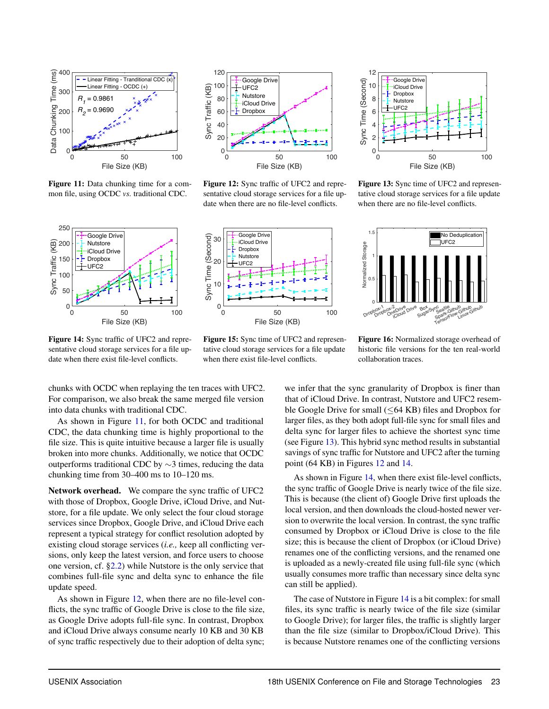<span id="page-11-0"></span>

Figure 11: Data chunking time for a common file, using OCDC *vs.* traditional CDC.



Figure 12: Sync traffic of UFC2 and representative cloud storage services for a file update when there are no file-level conflicts.

<span id="page-11-1"></span>

Figure 14: Sync traffic of UFC2 and representative cloud storage services for a file update when there exist file-level conflicts.



Figure 15: Sync time of UFC2 and representative cloud storage services for a file update when there exist file-level conflicts.



Figure 13: Sync time of UFC2 and representative cloud storage services for a file update when there are no file-level conflicts.



Figure 16: Normalized storage overhead of historic file versions for the ten real-world collaboration traces.

chunks with OCDC when replaying the ten traces with UFC2. For comparison, we also break the same merged file version into data chunks with traditional CDC.

As shown in Figure [11,](#page-11-0) for both OCDC and traditional CDC, the data chunking time is highly proportional to the file size. This is quite intuitive because a larger file is usually broken into more chunks. Additionally, we notice that OCDC outperforms traditional CDC by  $\sim$ 3 times, reducing the data chunking time from 30–400 ms to 10–120 ms.

Network overhead. We compare the sync traffic of UFC2 with those of Dropbox, Google Drive, iCloud Drive, and Nutstore, for a file update. We only select the four cloud storage services since Dropbox, Google Drive, and iCloud Drive each represent a typical strategy for conflict resolution adopted by existing cloud storage services (*i.e.,* keep all conflicting versions, only keep the latest version, and force users to choose one version, cf. [§2.2\)](#page-4-2) while Nutstore is the only service that combines full-file sync and delta sync to enhance the file update speed.

As shown in Figure [12,](#page-11-0) when there are no file-level conflicts, the sync traffic of Google Drive is close to the file size, as Google Drive adopts full-file sync. In contrast, Dropbox and iCloud Drive always consume nearly 10 KB and 30 KB of sync traffic respectively due to their adoption of delta sync; we infer that the sync granularity of Dropbox is finer than that of iCloud Drive. In contrast, Nutstore and UFC2 resemble Google Drive for small  $(\leq 64 \text{ KB})$  files and Dropbox for larger files, as they both adopt full-file sync for small files and delta sync for larger files to achieve the shortest sync time (see Figure [13\)](#page-11-0). This hybrid sync method results in substantial savings of sync traffic for Nutstore and UFC2 after the turning point (64 KB) in Figures [12](#page-11-0) and [14.](#page-11-1)

As shown in Figure [14,](#page-11-1) when there exist file-level conflicts, the sync traffic of Google Drive is nearly twice of the file size. This is because (the client of) Google Drive first uploads the local version, and then downloads the cloud-hosted newer version to overwrite the local version. In contrast, the sync traffic consumed by Dropbox or iCloud Drive is close to the file size; this is because the client of Dropbox (or iCloud Drive) renames one of the conflicting versions, and the renamed one is uploaded as a newly-created file using full-file sync (which usually consumes more traffic than necessary since delta sync can still be applied).

The case of Nutstore in Figure [14](#page-11-1) is a bit complex: for small files, its sync traffic is nearly twice of the file size (similar to Google Drive); for larger files, the traffic is slightly larger than the file size (similar to Dropbox/iCloud Drive). This is because Nutstore renames one of the conflicting versions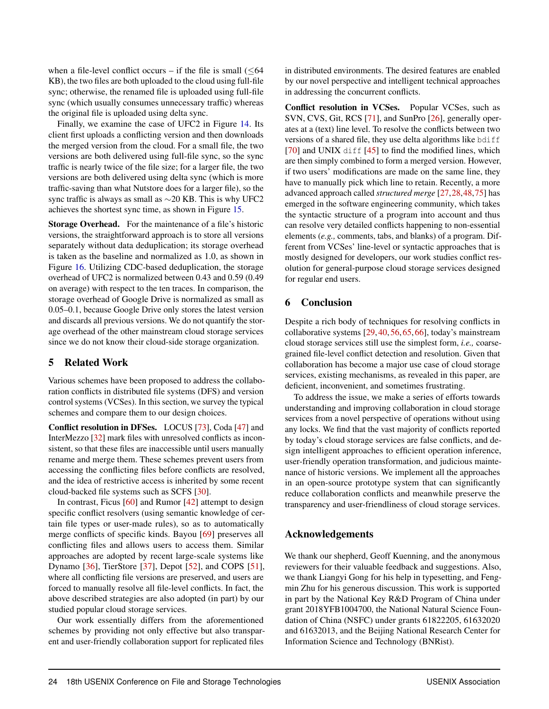when a file-level conflict occurs – if the file is small  $( $64$$ KB), the two files are both uploaded to the cloud using full-file sync; otherwise, the renamed file is uploaded using full-file sync (which usually consumes unnecessary traffic) whereas the original file is uploaded using delta sync.

Finally, we examine the case of UFC2 in Figure [14.](#page-11-1) Its client first uploads a conflicting version and then downloads the merged version from the cloud. For a small file, the two versions are both delivered using full-file sync, so the sync traffic is nearly twice of the file size; for a larger file, the two versions are both delivered using delta sync (which is more traffic-saving than what Nutstore does for a larger file), so the sync traffic is always as small as  $\sim$ 20 KB. This is why UFC2 achieves the shortest sync time, as shown in Figure [15.](#page-11-1)

Storage Overhead. For the maintenance of a file's historic versions, the straightforward approach is to store all versions separately without data deduplication; its storage overhead is taken as the baseline and normalized as 1.0, as shown in Figure [16.](#page-11-1) Utilizing CDC-based deduplication, the storage overhead of UFC2 is normalized between 0.43 and 0.59 (0.49 on average) with respect to the ten traces. In comparison, the storage overhead of Google Drive is normalized as small as 0.05–0.1, because Google Drive only stores the latest version and discards all previous versions. We do not quantify the storage overhead of the other mainstream cloud storage services since we do not know their cloud-side storage organization.

# 5 Related Work

Various schemes have been proposed to address the collaboration conflicts in distributed file systems (DFS) and version control systems (VCSes). In this section, we survey the typical schemes and compare them to our design choices.

Conflict resolution in DFSes. LOCUS [\[73\]](#page-15-14), Coda [\[47\]](#page-14-13) and InterMezzo [\[32\]](#page-14-14) mark files with unresolved conflicts as inconsistent, so that these files are inaccessible until users manually rename and merge them. These schemes prevent users from accessing the conflicting files before conflicts are resolved, and the idea of restrictive access is inherited by some recent cloud-backed file systems such as SCFS [\[30\]](#page-14-15).

In contrast, Ficus [\[60\]](#page-15-15) and Rumor [\[42\]](#page-14-16) attempt to design specific conflict resolvers (using semantic knowledge of certain file types or user-made rules), so as to automatically merge conflicts of specific kinds. Bayou [\[69\]](#page-15-16) preserves all conflicting files and allows users to access them. Similar approaches are adopted by recent large-scale systems like Dynamo [\[36\]](#page-14-17), TierStore [\[37\]](#page-14-18), Depot [\[52\]](#page-14-19), and COPS [\[51\]](#page-14-20), where all conflicting file versions are preserved, and users are forced to manually resolve all file-level conflicts. In fact, the above described strategies are also adopted (in part) by our studied popular cloud storage services.

Our work essentially differs from the aforementioned schemes by providing not only effective but also transparent and user-friendly collaboration support for replicated files

in distributed environments. The desired features are enabled by our novel perspective and intelligent technical approaches in addressing the concurrent conflicts.

Conflict resolution in VCSes. Popular VCSes, such as SVN, CVS, Git, RCS [\[71\]](#page-15-17), and SunPro [\[26\]](#page-13-25), generally operates at a (text) line level. To resolve the conflicts between two versions of a shared file, they use delta algorithms like bdiff  $[70]$  and UNIX diff  $[45]$  to find the modified lines, which are then simply combined to form a merged version. However, if two users' modifications are made on the same line, they have to manually pick which line to retain. Recently, a more advanced approach called *structured merge* [\[27,](#page-13-26)[28,](#page-13-27)[48,](#page-14-22)[75\]](#page-15-19) has emerged in the software engineering community, which takes the syntactic structure of a program into account and thus can resolve very detailed conflicts happening to non-essential elements (*e.g.,* comments, tabs, and blanks) of a program. Different from VCSes' line-level or syntactic approaches that is mostly designed for developers, our work studies conflict resolution for general-purpose cloud storage services designed for regular end users.

# 6 Conclusion

Despite a rich body of techniques for resolving conflicts in collaborative systems [\[29,](#page-13-28) [40,](#page-14-10) [56,](#page-15-20) [65,](#page-15-21) [66\]](#page-15-22), today's mainstream cloud storage services still use the simplest form, *i.e.,* coarsegrained file-level conflict detection and resolution. Given that collaboration has become a major use case of cloud storage services, existing mechanisms, as revealed in this paper, are deficient, inconvenient, and sometimes frustrating.

To address the issue, we make a series of efforts towards understanding and improving collaboration in cloud storage services from a novel perspective of operations without using any locks. We find that the vast majority of conflicts reported by today's cloud storage services are false conflicts, and design intelligent approaches to efficient operation inference, user-friendly operation transformation, and judicious maintenance of historic versions. We implement all the approaches in an open-source prototype system that can significantly reduce collaboration conflicts and meanwhile preserve the transparency and user-friendliness of cloud storage services.

#### Acknowledgements

We thank our shepherd, Geoff Kuenning, and the anonymous reviewers for their valuable feedback and suggestions. Also, we thank Liangyi Gong for his help in typesetting, and Fengmin Zhu for his generous discussion. This work is supported in part by the National Key R&D Program of China under grant 2018YFB1004700, the National Natural Science Foundation of China (NSFC) under grants 61822205, 61632020 and 61632013, and the Beijing National Research Center for Information Science and Technology (BNRist).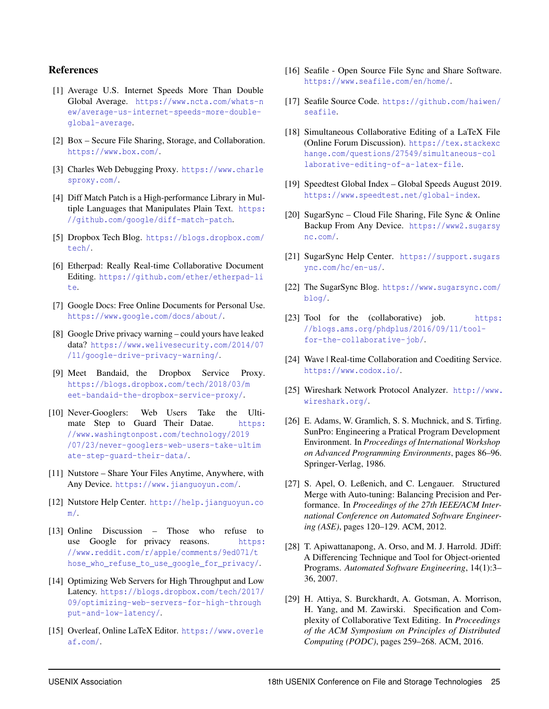#### References

- <span id="page-13-12"></span>[1] Average U.S. Internet Speeds More Than Double Global Average. [https://www.ncta.com/whats-n](https://www.ncta.com/whats-new/average-us-internet-speeds-more-double-global-average) [ew/average-us-internet-speeds-more-double](https://www.ncta.com/whats-new/average-us-internet-speeds-more-double-global-average)[global-average](https://www.ncta.com/whats-new/average-us-internet-speeds-more-double-global-average).
- <span id="page-13-3"></span>[2] Box – Secure File Sharing, Storage, and Collaboration. <https://www.box.com/>.
- <span id="page-13-15"></span>[3] Charles Web Debugging Proxy. [https://www.charle](https://www.charlesproxy.com/) [sproxy.com/](https://www.charlesproxy.com/).
- <span id="page-13-11"></span>[4] Diff Match Patch is a High-performance Library in Multiple Languages that Manipulates Plain Text. [https:](https://github.com/google/diff-match-patch) [//github.com/google/diff-match-patch](https://github.com/google/diff-match-patch).
- <span id="page-13-16"></span>[5] Dropbox Tech Blog. [https://blogs.dropbox.com/](https://blogs.dropbox.com/tech/) [tech/](https://blogs.dropbox.com/tech/).
- <span id="page-13-24"></span>[6] Etherpad: Really Real-time Collaborative Document Editing. [https://github.com/ether/etherpad-li](https://github.com/ether/etherpad-lite) [te](https://github.com/ether/etherpad-lite).
- <span id="page-13-9"></span>[7] Google Docs: Free Online Documents for Personal Use. <https://www.google.com/docs/about/>.
- <span id="page-13-0"></span>[8] Google Drive privacy warning – could yours have leaked data? [https://www.welivesecurity.com/2014/07](https://www.welivesecurity.com/2014/07/11/google-drive-privacy-warning/) [/11/google-drive-privacy-warning/](https://www.welivesecurity.com/2014/07/11/google-drive-privacy-warning/).
- <span id="page-13-17"></span>[9] Meet Bandaid, the Dropbox Service Proxy. [https://blogs.dropbox.com/tech/2018/03/m](https://blogs.dropbox.com/tech/2018/03/meet-bandaid-the-dropbox-service-proxy/) [eet-bandaid-the-dropbox-service-proxy/](https://blogs.dropbox.com/tech/2018/03/meet-bandaid-the-dropbox-service-proxy/).
- <span id="page-13-1"></span>[10] Never-Googlers: Web Users Take the Ultimate Step to Guard Their Datae. [https:](https://www.washingtonpost.com/technology/2019/07/23/never-googlers-web-users-take-ultimate-step-guard-their-data/) [//www.washingtonpost.com/technology/2019](https://www.washingtonpost.com/technology/2019/07/23/never-googlers-web-users-take-ultimate-step-guard-their-data/) [/07/23/never-googlers-web-users-take-ultim](https://www.washingtonpost.com/technology/2019/07/23/never-googlers-web-users-take-ultimate-step-guard-their-data/) [ate-step-guard-their-data/](https://www.washingtonpost.com/technology/2019/07/23/never-googlers-web-users-take-ultimate-step-guard-their-data/).
- <span id="page-13-6"></span>[11] Nutstore – Share Your Files Anytime, Anywhere, with Any Device. <https://www.jianguoyun.com/>.
- <span id="page-13-18"></span>[12] Nutstore Help Center. [http://help.jianguoyun.co](http://help.jianguoyun.com/) [m/](http://help.jianguoyun.com/).
- <span id="page-13-2"></span>[13] Online Discussion – Those who refuse to use Google for privacy reasons. [https:](https://www.reddit.com/r/apple/comments/9ed07l/those_who_refuse_to_use_google_for_privacy/) [//www.reddit.com/r/apple/comments/9ed07l/t](https://www.reddit.com/r/apple/comments/9ed07l/those_who_refuse_to_use_google_for_privacy/) [hose\\_who\\_refuse\\_to\\_use\\_google\\_for\\_privacy/](https://www.reddit.com/r/apple/comments/9ed07l/those_who_refuse_to_use_google_for_privacy/).
- <span id="page-13-19"></span>[14] Optimizing Web Servers for High Throughput and Low Latency. [https://blogs.dropbox.com/tech/2017/](https://blogs.dropbox.com/tech/2017/09/optimizing-web-servers-for-high-throughput-and-low-latency/) [09/optimizing-web-servers-for-high-through](https://blogs.dropbox.com/tech/2017/09/optimizing-web-servers-for-high-throughput-and-low-latency/) [put-and-low-latency/](https://blogs.dropbox.com/tech/2017/09/optimizing-web-servers-for-high-throughput-and-low-latency/).
- <span id="page-13-10"></span>[15] Overleaf, Online LaTeX Editor. [https://www.overle](https://www.overleaf.com/) [af.com/](https://www.overleaf.com/).
- <span id="page-13-5"></span>[16] Seafile - Open Source File Sync and Share Software. <https://www.seafile.com/en/home/>.
- <span id="page-13-22"></span>[17] Seafile Source Code. [https://github.com/haiwen/](https://github.com/haiwen/seafile) [seafile](https://github.com/haiwen/seafile).
- <span id="page-13-7"></span>[18] Simultaneous Collaborative Editing of a LaTeX File (Online Forum Discussion). [https://tex.stackexc](https://tex.stackexchange.com/questions/27549/simultaneous-collaborative-editing-of-a-latex-file) [hange.com/questions/27549/simultaneous-col](https://tex.stackexchange.com/questions/27549/simultaneous-collaborative-editing-of-a-latex-file) [laborative-editing-of-a-latex-file](https://tex.stackexchange.com/questions/27549/simultaneous-collaborative-editing-of-a-latex-file).
- <span id="page-13-13"></span>[19] Speedtest Global Index – Global Speeds August 2019. <https://www.speedtest.net/global-index>.
- <span id="page-13-4"></span>[20] SugarSync – Cloud File Sharing, File Sync & Online Backup From Any Device. [https://www2.sugarsy](https://www2.sugarsync.com/) [nc.com/](https://www2.sugarsync.com/).
- <span id="page-13-20"></span>[21] SugarSync Help Center. [https://support.sugars](https://support.sugarsync.com/hc/en-us/) [ync.com/hc/en-us/](https://support.sugarsync.com/hc/en-us/).
- <span id="page-13-21"></span>[22] The SugarSync Blog. [https://www.sugarsync.com/](https://www.sugarsync.com/blog/) [blog/](https://www.sugarsync.com/blog/).
- <span id="page-13-8"></span>[23] Tool for the (collaborative) job. [https:](https://blogs.ams.org/phdplus/2016/09/11/tool-for-the-collaborative-job/) [//blogs.ams.org/phdplus/2016/09/11/tool](https://blogs.ams.org/phdplus/2016/09/11/tool-for-the-collaborative-job/)[for-the-collaborative-job/](https://blogs.ams.org/phdplus/2016/09/11/tool-for-the-collaborative-job/).
- <span id="page-13-23"></span>[24] Wave | Real-time Collaboration and Coediting Service. <https://www.codox.io/>.
- <span id="page-13-14"></span>[25] Wireshark Network Protocol Analyzer. [http://www.](http://www.wireshark.org/) [wireshark.org/](http://www.wireshark.org/).
- <span id="page-13-25"></span>[26] E. Adams, W. Gramlich, S. S. Muchnick, and S. Tirfing. SunPro: Engineering a Pratical Program Development Environment. In *Proceedings of International Workshop on Advanced Programming Environments*, pages 86–96. Springer-Verlag, 1986.
- <span id="page-13-26"></span>[27] S. Apel, O. Leßenich, and C. Lengauer. Structured Merge with Auto-tuning: Balancing Precision and Performance. In *Proceedings of the 27th IEEE/ACM International Conference on Automated Software Engineering (ASE)*, pages 120–129. ACM, 2012.
- <span id="page-13-27"></span>[28] T. Apiwattanapong, A. Orso, and M. J. Harrold. JDiff: A Differencing Technique and Tool for Object-oriented Programs. *Automated Software Engineering*, 14(1):3– 36, 2007.
- <span id="page-13-28"></span>[29] H. Attiya, S. Burckhardt, A. Gotsman, A. Morrison, H. Yang, and M. Zawirski. Specification and Complexity of Collaborative Text Editing. In *Proceedings of the ACM Symposium on Principles of Distributed Computing (PODC)*, pages 259–268. ACM, 2016.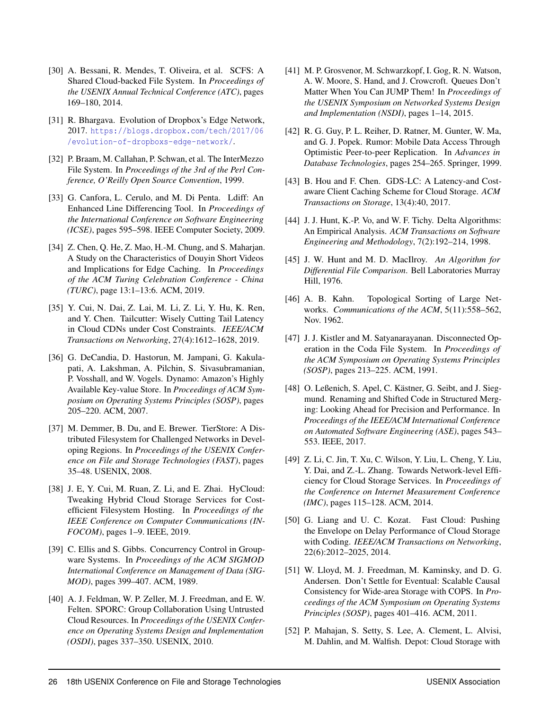- <span id="page-14-15"></span>[30] A. Bessani, R. Mendes, T. Oliveira, et al. SCFS: A Shared Cloud-backed File System. In *Proceedings of the USENIX Annual Technical Conference (ATC)*, pages 169–180, 2014.
- <span id="page-14-3"></span>[31] R. Bhargava. Evolution of Dropbox's Edge Network, 2017. [https://blogs.dropbox.com/tech/2017/06](https://blogs.dropbox.com/tech/2017/06/evolution-of-dropboxs-edge-network/) [/evolution-of-dropboxs-edge-network/](https://blogs.dropbox.com/tech/2017/06/evolution-of-dropboxs-edge-network/).
- <span id="page-14-14"></span>[32] P. Braam, M. Callahan, P. Schwan, et al. The InterMezzo File System. In *Proceedings of the 3rd of the Perl Conference, O'Reilly Open Source Convention*, 1999.
- <span id="page-14-0"></span>[33] G. Canfora, L. Cerulo, and M. Di Penta. Ldiff: An Enhanced Line Differencing Tool. In *Proceedings of the International Conference on Software Engineering (ICSE)*, pages 595–598. IEEE Computer Society, 2009.
- <span id="page-14-4"></span>[34] Z. Chen, Q. He, Z. Mao, H.-M. Chung, and S. Maharjan. A Study on the Characteristics of Douyin Short Videos and Implications for Edge Caching. In *Proceedings of the ACM Turing Celebration Conference - China (TURC)*, page 13:1–13:6. ACM, 2019.
- <span id="page-14-5"></span>[35] Y. Cui, N. Dai, Z. Lai, M. Li, Z. Li, Y. Hu, K. Ren, and Y. Chen. Tailcutter: Wisely Cutting Tail Latency in Cloud CDNs under Cost Constraints. *IEEE/ACM Transactions on Networking*, 27(4):1612–1628, 2019.
- <span id="page-14-17"></span>[36] G. DeCandia, D. Hastorun, M. Jampani, G. Kakulapati, A. Lakshman, A. Pilchin, S. Sivasubramanian, P. Vosshall, and W. Vogels. Dynamo: Amazon's Highly Available Key-value Store. In *Proceedings of ACM Symposium on Operating Systems Principles (SOSP)*, pages 205–220. ACM, 2007.
- <span id="page-14-18"></span>[37] M. Demmer, B. Du, and E. Brewer. TierStore: A Distributed Filesystem for Challenged Networks in Developing Regions. In *Proceedings of the USENIX Conference on File and Storage Technologies (FAST)*, pages 35–48. USENIX, 2008.
- <span id="page-14-12"></span>[38] J. E, Y. Cui, M. Ruan, Z. Li, and E. Zhai. HyCloud: Tweaking Hybrid Cloud Storage Services for Costefficient Filesystem Hosting. In *Proceedings of the IEEE Conference on Computer Communications (IN-FOCOM)*, pages 1–9. IEEE, 2019.
- <span id="page-14-2"></span>[39] C. Ellis and S. Gibbs. Concurrency Control in Groupware Systems. In *Proceedings of the ACM SIGMOD International Conference on Management of Data (SIG-MOD)*, pages 399–407. ACM, 1989.
- <span id="page-14-10"></span>[40] A. J. Feldman, W. P. Zeller, M. J. Freedman, and E. W. Felten. SPORC: Group Collaboration Using Untrusted Cloud Resources. In *Proceedings of the USENIX Conference on Operating Systems Design and Implementation (OSDI)*, pages 337–350. USENIX, 2010.
- <span id="page-14-8"></span>[41] M. P. Grosvenor, M. Schwarzkopf, I. Gog, R. N. Watson, A. W. Moore, S. Hand, and J. Crowcroft. Queues Don't Matter When You Can JUMP Them! In *Proceedings of the USENIX Symposium on Networked Systems Design and Implementation (NSDI)*, pages 1–14, 2015.
- <span id="page-14-16"></span>[42] R. G. Guy, P. L. Reiher, D. Ratner, M. Gunter, W. Ma, and G. J. Popek. Rumor: Mobile Data Access Through Optimistic Peer-to-peer Replication. In *Advances in Database Technologies*, pages 254–265. Springer, 1999.
- <span id="page-14-6"></span>[43] B. Hou and F. Chen. GDS-LC: A Latency-and Costaware Client Caching Scheme for Cloud Storage. *ACM Transactions on Storage*, 13(4):40, 2017.
- <span id="page-14-1"></span>[44] J. J. Hunt, K.-P. Vo, and W. F. Tichy. Delta Algorithms: An Empirical Analysis. *ACM Transactions on Software Engineering and Methodology*, 7(2):192–214, 1998.
- <span id="page-14-21"></span>[45] J. W. Hunt and M. D. MacIlroy. *An Algorithm for Differential File Comparison*. Bell Laboratories Murray Hill, 1976.
- <span id="page-14-11"></span>[46] A. B. Kahn. Topological Sorting of Large Networks. *Communications of the ACM*, 5(11):558–562, Nov. 1962.
- <span id="page-14-13"></span>[47] J. J. Kistler and M. Satyanarayanan. Disconnected Operation in the Coda File System. In *Proceedings of the ACM Symposium on Operating Systems Principles (SOSP)*, pages 213–225. ACM, 1991.
- <span id="page-14-22"></span>[48] O. Leßenich, S. Apel, C. Kästner, G. Seibt, and J. Siegmund. Renaming and Shifted Code in Structured Merging: Looking Ahead for Precision and Performance. In *Proceedings of the IEEE/ACM International Conference on Automated Software Engineering (ASE)*, pages 543– 553. IEEE, 2017.
- <span id="page-14-9"></span>[49] Z. Li, C. Jin, T. Xu, C. Wilson, Y. Liu, L. Cheng, Y. Liu, Y. Dai, and Z.-L. Zhang. Towards Network-level Efficiency for Cloud Storage Services. In *Proceedings of the Conference on Internet Measurement Conference (IMC)*, pages 115–128. ACM, 2014.
- <span id="page-14-7"></span>[50] G. Liang and U. C. Kozat. Fast Cloud: Pushing the Envelope on Delay Performance of Cloud Storage with Coding. *IEEE/ACM Transactions on Networking*, 22(6):2012–2025, 2014.
- <span id="page-14-20"></span>[51] W. Lloyd, M. J. Freedman, M. Kaminsky, and D. G. Andersen. Don't Settle for Eventual: Scalable Causal Consistency for Wide-area Storage with COPS. In *Proceedings of the ACM Symposium on Operating Systems Principles (SOSP)*, pages 401–416. ACM, 2011.
- <span id="page-14-19"></span>[52] P. Mahajan, S. Setty, S. Lee, A. Clement, L. Alvisi, M. Dahlin, and M. Walfish. Depot: Cloud Storage with